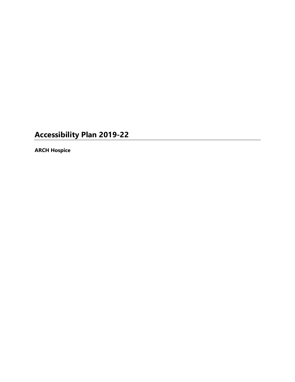# **Accessibility Plan 2019-22**

**ARCH Hospice**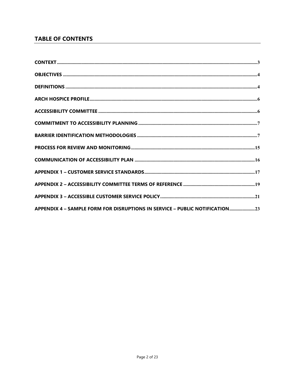## **TABLE OF CONTENTS**

| APPENDIX 4 - SAMPLE FORM FOR DISRUPTIONS IN SERVICE - PUBLIC NOTIFICATION23 |
|-----------------------------------------------------------------------------|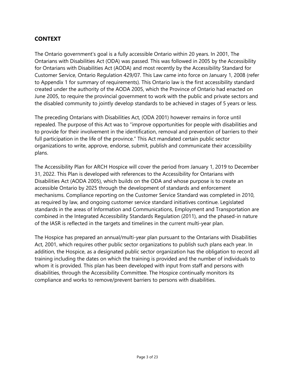## **CONTEXT**

The Ontario government's goal is a fully accessible Ontario within 20 years. In 2001, The Ontarians with Disabilities Act (ODA) was passed. This was followed in 2005 by the Accessibility for Ontarians with Disabilities Act (AODA) and most recently by the Accessibility Standard for Customer Service, Ontario Regulation 429/07. This Law came into force on January 1, 2008 (refer to Appendix 1 for summary of requirements). This Ontario law is the first accessibility standard created under the authority of the AODA 2005, which the Province of Ontario had enacted on June 2005, to require the provincial government to work with the public and private sectors and the disabled community to jointly develop standards to be achieved in stages of 5 years or less.

The preceding Ontarians with Disabilities Act, (ODA 2001) however remains in force until repealed. The purpose of this Act was to "improve opportunities for people with disabilities and to provide for their involvement in the identification, removal and prevention of barriers to their full participation in the life of the province." This Act mandated certain public sector organizations to write, approve, endorse, submit, publish and communicate their accessibility plans.

The Accessibility Plan for ARCH Hospice will cover the period from January 1, 2019 to December 31, 2022. This Plan is developed with references to the Accessibility for Ontarians with Disabilities Act (AODA 2005), which builds on the ODA and whose purpose is to create an accessible Ontario by 2025 through the development of standards and enforcement mechanisms. Compliance reporting on the Customer Service Standard was completed in 2010, as required by law, and ongoing customer service standard initiatives continue. Legislated standards in the areas of Information and Communications, Employment and Transportation are combined in the Integrated Accessibility Standards Regulation (2011), and the phased-in nature of the IASR is reflected in the targets and timelines in the current multi-year plan.

The Hospice has prepared an annual/multi-year plan pursuant to the Ontarians with Disabilities Act, 2001, which requires other public sector organizations to publish such plans each year. In addition, the Hospice, as a designated public sector organization has the obligation to record all training including the dates on which the training is provided and the number of individuals to whom it is provided. This plan has been developed with input from staff and persons with disabilities, through the Accessibility Committee. The Hospice continually monitors its compliance and works to remove/prevent barriers to persons with disabilities.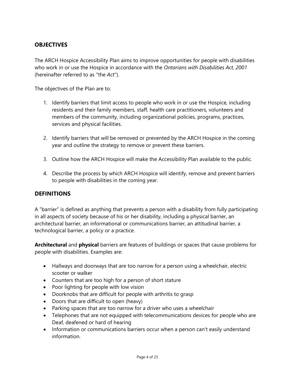## **OBJECTIVES**

The ARCH Hospice Accessibility Plan aims to improve opportunities for people with disabilities who work in or use the Hospice in accordance with the *Ontarians with Disabilities Act, 2001* (hereinafter referred to as "the *Act*").

The objectives of the Plan are to:

- 1. Identify barriers that limit access to people who work in or use the Hospice, including residents and their family members, staff, health care practitioners, volunteers and members of the community, including organizational policies, programs, practices, services and physical facilities.
- 2. Identify barriers that will be removed or prevented by the ARCH Hospice in the coming year and outline the strategy to remove or prevent these barriers.
- 3. Outline how the ARCH Hospice will make the Accessibility Plan available to the public.
- 4. Describe the process by which ARCH Hospice will identify, remove and prevent barriers to people with disabilities in the coming year.

#### **DEFINITIONS**

A "barrier" is defined as anything that prevents a person with a disability from fully participating in all aspects of society because of his or her disability, including a physical barrier, an architectural barrier, an informational or communications barrier, an attitudinal barrier, a technological barrier, a policy or a practice.

**Architectural** and **physical** barriers are features of buildings or spaces that cause problems for people with disabilities. Examples are:

- Hallways and doorways that are too narrow for a person using a wheelchair, electric scooter or walker
- Counters that are too high for a person of short stature
- Poor lighting for people with low vision
- Doorknobs that are difficult for people with arthritis to grasp
- Doors that are difficult to open (heavy)
- Parking spaces that are too narrow for a driver who uses a wheelchair
- Telephones that are not equipped with telecommunications devices for people who are Deaf, deafened or hard of hearing
- Information or communications barriers occur when a person can't easily understand information.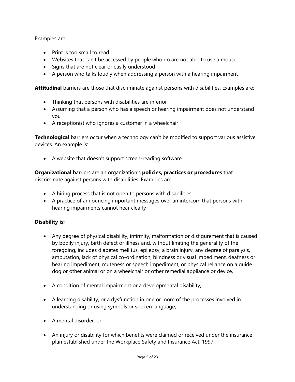Examples are:

- Print is too small to read
- Websites that can't be accessed by people who do are not able to use a mouse
- Signs that are not clear or easily understood
- A person who talks loudly when addressing a person with a hearing impairment

**Attitudinal** barriers are those that discriminate against persons with disabilities. Examples are:

- Thinking that persons with disabilities are inferior
- Assuming that a person who has a speech or hearing impairment does not understand you
- A receptionist who ignores a customer in a wheelchair

**Technological** barriers occur when a technology can't be modified to support various assistive devices. An example is:

• A website that doesn't support screen-reading software

**Organizational** barriers are an organization's **policies, practices or procedures** that discriminate against persons with disabilities. Examples are:

- A hiring process that is not open to persons with disabilities
- A practice of announcing important messages over an intercom that persons with hearing impairments cannot hear clearly

#### **Disability is:**

- Any degree of physical disability, infirmity, malformation or disfigurement that is caused by bodily injury, birth defect or illness and, without limiting the generality of the foregoing, includes diabetes mellitus, epilepsy, a brain injury, any degree of paralysis, amputation, lack of physical co-ordination, blindness or visual impediment, deafness or hearing impediment, muteness or speech impediment, or physical reliance on a guide dog or other animal or on a wheelchair or other remedial appliance or device,
- A condition of mental impairment or a developmental disability,
- A learning disability, or a dysfunction in one or more of the processes involved in understanding or using symbols or spoken language,
- A mental disorder, or
- An injury or disability for which benefits were claimed or received under the insurance plan established under the Workplace Safety and Insurance Act, 1997.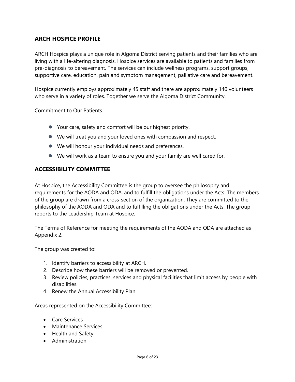## **ARCH HOSPICE PROFILE**

ARCH Hospice plays a unique role in Algoma District serving patients and their families who are living with a life-altering diagnosis. Hospice services are available to patients and families from pre-diagnosis to bereavement. The services can include wellness programs, support groups, supportive care, education, pain and symptom management, palliative care and bereavement.

Hospice currently employs approximately 45 staff and there are approximately 140 volunteers who serve in a variety of roles. Together we serve the Algoma District Community.

#### Commitment to Our Patients

- Your care, safety and comfort will be our highest priority.
- We will treat you and your loved ones with compassion and respect.
- We will honour your individual needs and preferences.
- We will work as a team to ensure you and your family are well cared for.

#### **ACCESSIBILITY COMMITTEE**

At Hospice, the Accessibility Committee is the group to oversee the philosophy and requirements for the AODA and ODA, and to fulfill the obligations under the Acts. The members of the group are drawn from a cross-section of the organization. They are committed to the philosophy of the AODA and ODA and to fulfilling the obligations under the Acts. The group reports to the Leadership Team at Hospice.

The Terms of Reference for meeting the requirements of the AODA and ODA are attached as Appendix 2.

The group was created to:

- 1. Identify barriers to accessibility at ARCH.
- 2. Describe how these barriers will be removed or prevented.
- 3. Review policies, practices, services and physical facilities that limit access by people with disabilities.
- 4. Renew the Annual Accessibility Plan.

Areas represented on the Accessibility Committee:

- Care Services
- Maintenance Services
- Health and Safety
- Administration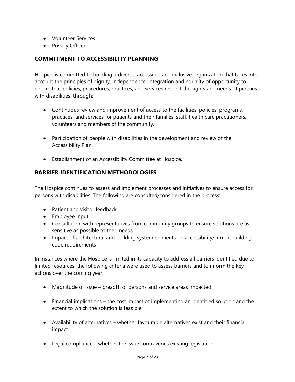- Volunteer Services
- Privacy Officer

#### **COMMITMENT TO ACCESSIBILITY PLANNING**

Hospice is committed to building a diverse, accessible and inclusive organization that takes into account the principles of dignity, independence, integration and equality of opportunity to ensure that policies, procedures, practices, and services respect the rights and needs of persons with disabilities, through:

- Continuous review and improvement of access to the facilities, policies, programs, practices, and services for patients and their families, staff, health care practitioners, volunteers and members of the community.
- Participation of people with disabilities in the development and review of the Accessibility Plan.
- Establishment of an Accessibility Committee at Hospice.

## **BARRIER IDENTIFICATION METHODOLOGIES**

The Hospice continues to assess and implement processes and initiatives to ensure access for persons with disabilities. The following are consulted/considered in the process:

- Patient and visitor feedback
- Employee input
- Consultation with representatives from community groups to ensure solutions are as sensitive as possible to their needs
- Impact of architectural and building system elements on accessibility/current building code requirements

In instances where the Hospice is limited in its capacity to address all barriers identified due to limited resources, the following criteria were used to assess barriers and to inform the key actions over the coming year:

- Magnitude of issue breadth of persons and service areas impacted.
- Financial implications the cost impact of implementing an identified solution and the extent to which the solution is feasible.
- Availability of alternatives whether favourable alternatives exist and their financial impact.
- Legal compliance whether the issue contravenes existing legislation.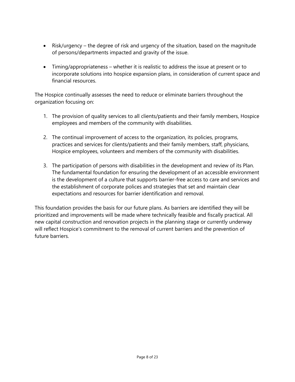- Risk/urgency the degree of risk and urgency of the situation, based on the magnitude of persons/departments impacted and gravity of the issue.
- Timing/appropriateness whether it is realistic to address the issue at present or to incorporate solutions into hospice expansion plans, in consideration of current space and financial resources.

The Hospice continually assesses the need to reduce or eliminate barriers throughout the organization focusing on:

- 1. The provision of quality services to all clients/patients and their family members, Hospice employees and members of the community with disabilities.
- 2. The continual improvement of access to the organization, its policies, programs, practices and services for clients/patients and their family members, staff, physicians, Hospice employees, volunteers and members of the community with disabilities.
- 3. The participation of persons with disabilities in the development and review of its Plan. The fundamental foundation for ensuring the development of an accessible environment is the development of a culture that supports barrier-free access to care and services and the establishment of corporate polices and strategies that set and maintain clear expectations and resources for barrier identification and removal.

This foundation provides the basis for our future plans. As barriers are identified they will be prioritized and improvements will be made where technically feasible and fiscally practical. All new capital construction and renovation projects in the planning stage or currently underway will reflect Hospice's commitment to the removal of current barriers and the prevention of future barriers.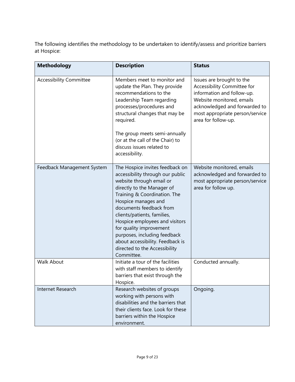The following identifies the methodology to be undertaken to identify/assess and prioritize barriers at Hospice:

| <b>Methodology</b>             | <b>Description</b>                                                                                                                                                                                                                                                                                                                                                                                                             | <b>Status</b>                                                                                                                                                                                                  |
|--------------------------------|--------------------------------------------------------------------------------------------------------------------------------------------------------------------------------------------------------------------------------------------------------------------------------------------------------------------------------------------------------------------------------------------------------------------------------|----------------------------------------------------------------------------------------------------------------------------------------------------------------------------------------------------------------|
| <b>Accessibility Committee</b> | Members meet to monitor and<br>update the Plan. They provide<br>recommendations to the<br>Leadership Team regarding<br>processes/procedures and<br>structural changes that may be<br>required.<br>The group meets semi-annually<br>(or at the call of the Chair) to<br>discuss issues related to<br>accessibility.                                                                                                             | Issues are brought to the<br>Accessibility Committee for<br>information and follow-up.<br>Website monitored, emails<br>acknowledged and forwarded to<br>most appropriate person/service<br>area for follow-up. |
| Feedback Management System     | The Hospice invites feedback on<br>accessibility through our public<br>website through email or<br>directly to the Manager of<br>Training & Coordination. The<br>Hospice manages and<br>documents feedback from<br>clients/patients, families,<br>Hospice employees and visitors<br>for quality improvement<br>purposes, including feedback<br>about accessibility. Feedback is<br>directed to the Accessibility<br>Committee. | Website monitored, emails<br>acknowledged and forwarded to<br>most appropriate person/service<br>area for follow up.                                                                                           |
| <b>Walk About</b>              | Initiate a tour of the facilities<br>with staff members to identify<br>barriers that exist through the<br>Hospice.                                                                                                                                                                                                                                                                                                             | Conducted annually.                                                                                                                                                                                            |
| Internet Research              | Research websites of groups<br>working with persons with<br>disabilities and the barriers that<br>their clients face. Look for these<br>barriers within the Hospice<br>environment.                                                                                                                                                                                                                                            | Ongoing.                                                                                                                                                                                                       |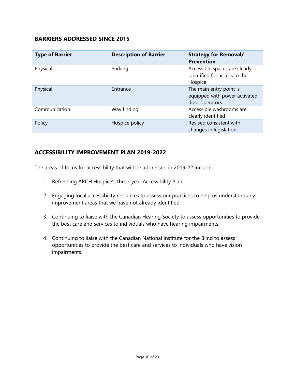#### **BARRIERS ADDRESSED SINCE 2015**

| <b>Type of Barrier</b> | <b>Description of Barrier</b> | <b>Strategy for Removal/</b><br><b>Prevention</b>                          |
|------------------------|-------------------------------|----------------------------------------------------------------------------|
| Physical               | Parking                       | Accessible spaces are clearly<br>identified for access to the<br>Hospice   |
| Physical               | Entrance                      | The main entry point is<br>equipped with power activated<br>door operators |
| Communication          | Way finding                   | Accessible washrooms are<br>clearly identified                             |
| Policy                 | Hospice policy                | Revised consistent with<br>changes in legislation                          |

#### **ACCESSIBILITY IMPROVEMENT PLAN 2019-2022**

The areas of focus for accessibility that will be addressed in 2019-22 include:

- 1. Refreshing ARCH Hospice's three-year Accessibility Plan.
- 2. Engaging local accessibility resources to assess our practices to help us understand any improvement areas that we have not already identified.
- 3. Continuing to liaise with the Canadian Hearing Society to assess opportunities to provide the best care and services to individuals who have hearing impairments.
- 4. Continuing to liaise with the Canadian National Institute for the Blind to assess opportunities to provide the best care and services to individuals who have vision impairments.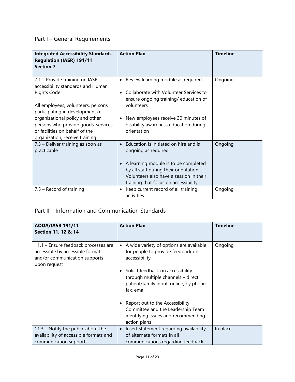## Part I – General Requirements

| <b>Integrated Accessibility Standards</b><br><b>Regulation (IASR) 191/11</b><br><b>Section 7</b>                                                                                                                                                                                                                 | <b>Action Plan</b>                                                                                                                                                                                                                                | <b>Timeline</b> |
|------------------------------------------------------------------------------------------------------------------------------------------------------------------------------------------------------------------------------------------------------------------------------------------------------------------|---------------------------------------------------------------------------------------------------------------------------------------------------------------------------------------------------------------------------------------------------|-----------------|
| 7.1 - Provide training on IASR<br>accessibility standards and Human<br><b>Rights Code</b><br>All employees, volunteers, persons<br>participating in development of<br>organizational policy and other<br>persons who provide goods, services<br>or facilities on behalf of the<br>organization, receive training | • Review learning module as required<br>Collaborate with Volunteer Services to<br>ensure ongoing training/ education of<br>volunteers<br>New employees receive 30 minutes of<br>$\bullet$<br>disability awareness education during<br>orientation | Ongoing         |
| 7.3 - Deliver training as soon as<br>practicable                                                                                                                                                                                                                                                                 | Education is initiated on hire and is<br>ongoing as required.<br>A learning module is to be completed<br>by all staff during their orientation.<br>Volunteers also have a session in their<br>training that focus on accessibility                | Ongoing         |
| 7.5 - Record of training                                                                                                                                                                                                                                                                                         | Keep current record of all training<br>$\bullet$<br>activities                                                                                                                                                                                    | Ongoing         |

## Part II – Information and Communication Standards

| <b>AODA/IASR 191/11</b><br>Section 11, 12 & 14                                                                            | <b>Action Plan</b>                                                                                                                                                                                                                                                             | <b>Timeline</b> |
|---------------------------------------------------------------------------------------------------------------------------|--------------------------------------------------------------------------------------------------------------------------------------------------------------------------------------------------------------------------------------------------------------------------------|-----------------|
| 11.1 - Ensure feedback processes are<br>accessible by accessible formats<br>and/or communication supports<br>upon request | A wide variety of options are available<br>٠<br>for people to provide feedback on<br>accessibility<br>Solicit feedback on accessibility<br>٠<br>through multiple channels - direct<br>patient/family input, online, by phone,<br>fax, email<br>Report out to the Accessibility | Ongoing         |
|                                                                                                                           | Committee and the Leadership Team<br>identifying issues and recommending<br>action plans                                                                                                                                                                                       |                 |
| $11.3$ – Notify the public about the<br>availability of accessible formats and<br>communication supports                  | Insert statement regarding availability<br>$\bullet$<br>of alternate formats in all<br>communications regarding feedback                                                                                                                                                       | In place        |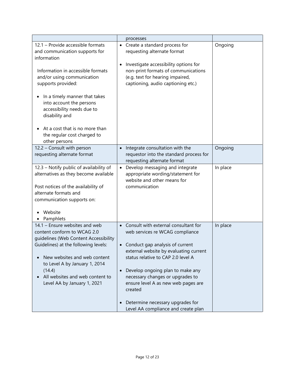|                                                                                                                                                                                                                                                                                                                                                                            | processes                                                                                                                                                                                                                                                                                                                                                                                                                                |          |
|----------------------------------------------------------------------------------------------------------------------------------------------------------------------------------------------------------------------------------------------------------------------------------------------------------------------------------------------------------------------------|------------------------------------------------------------------------------------------------------------------------------------------------------------------------------------------------------------------------------------------------------------------------------------------------------------------------------------------------------------------------------------------------------------------------------------------|----------|
| 12.1 - Provide accessible formats<br>and communication supports for<br>information<br>Information in accessible formats<br>and/or using communication<br>supports provided:<br>In a timely manner that takes<br>into account the persons<br>accessibility needs due to<br>disability and<br>At a cost that is no more than<br>the regular cost charged to<br>other persons | • Create a standard process for<br>requesting alternate format<br>Investigate accessibility options for<br>$\bullet$<br>non-print formats of communications<br>(e.g. text for hearing impaired,<br>captioning, audio captioning etc.)                                                                                                                                                                                                    | Ongoing  |
| 12.2 - Consult with person<br>requesting alternate format                                                                                                                                                                                                                                                                                                                  | Integrate consultation with the<br>$\bullet$<br>requestor into the standard process for<br>requesting alternate format                                                                                                                                                                                                                                                                                                                   | Ongoing  |
| 12.3 - Notify public of availability of<br>alternatives as they become available<br>Post notices of the availability of<br>alternate formats and<br>communication supports on:<br>Website<br>Pamphlets                                                                                                                                                                     | Develop messaging and integrate<br>$\bullet$<br>appropriate wording/statement for<br>website and other means for<br>communication                                                                                                                                                                                                                                                                                                        | In place |
| 14.1 - Ensure websites and web<br>content conform to WCAG 2.0<br>guidelines (Web Content Accessibility<br>Guidelines) at the following levels:<br>New websites and web content<br>to Level A by January 1, 2014<br>(14.4)<br>All websites and web content to<br>Level AA by January 1, 2021                                                                                | Consult with external consultant for<br>$\bullet$<br>web services re WCAG compliance<br>• Conduct gap analysis of current<br>external website by evaluating current<br>status relative to CAP 2.0 level A<br>Develop ongoing plan to make any<br>$\bullet$<br>necessary changes or upgrades to<br>ensure level A as new web pages are<br>created<br>Determine necessary upgrades for<br>$\bullet$<br>Level AA compliance and create plan | In place |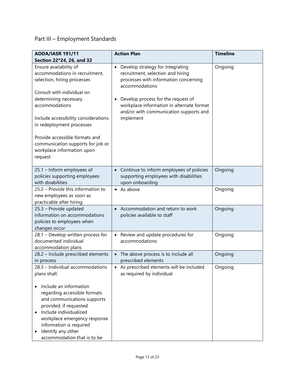## Part III – Employment Standards

| <b>AODA/IASR 191/11</b>                                                                                                                                                                                                                                                                                       | <b>Action Plan</b>                                                                                                                                                                                                                                                                      | <b>Timeline</b> |
|---------------------------------------------------------------------------------------------------------------------------------------------------------------------------------------------------------------------------------------------------------------------------------------------------------------|-----------------------------------------------------------------------------------------------------------------------------------------------------------------------------------------------------------------------------------------------------------------------------------------|-----------------|
| Section 22*24, 26, and 32                                                                                                                                                                                                                                                                                     |                                                                                                                                                                                                                                                                                         |                 |
| Ensure availability of<br>accommodations in recruitment,<br>selection, hiring processes<br>Consult with individual on<br>determining necessary<br>accommodations<br>Include accessibility considerations<br>in redeployment processes                                                                         | Develop strategy for integrating<br>$\bullet$<br>recruitment, selection and hiring<br>processes with information concerning<br>accommodations<br>Develop process for the request of<br>workplace information in alternate format<br>and/or with communication supports and<br>implement | Ongoing         |
| Provide accessible formats and<br>communication supports for job or<br>workplace information upon<br>request                                                                                                                                                                                                  |                                                                                                                                                                                                                                                                                         |                 |
| 25.1 - Inform employees of<br>policies supporting employees<br>with disabilities                                                                                                                                                                                                                              | • Continue to inform employees of policies<br>supporting employees with disabilities<br>upon onboarding                                                                                                                                                                                 | Ongoing         |
| 25.2 - Provide this information to<br>new employees as soon as<br>practicable after hiring                                                                                                                                                                                                                    | • As above                                                                                                                                                                                                                                                                              | Ongoing         |
| 25.3 - Provide updated<br>information on accommodations<br>policies to employees when<br>changes occur                                                                                                                                                                                                        | • Accommodation and return to work<br>policies available to staff                                                                                                                                                                                                                       | Ongoing         |
| 28.1 - Develop written process for<br>documented individual<br>accommodation plans                                                                                                                                                                                                                            | • Review and update procedures for<br>accommodations                                                                                                                                                                                                                                    | Ongoing         |
| 28.2 - Include prescribed elements<br>in process                                                                                                                                                                                                                                                              | The above process is to include all<br>prescribed elements                                                                                                                                                                                                                              | Ongoing         |
| 28.3 - Individual accommodations<br>plans shall:<br>Include an information<br>regarding accessible formats<br>and communications supports<br>provided, if requested<br>Include individualized<br>workplace emergency response<br>information is required<br>Identify any other<br>accommodation that is to be | • As prescribed elements will be included<br>as required by individual                                                                                                                                                                                                                  | Ongoing         |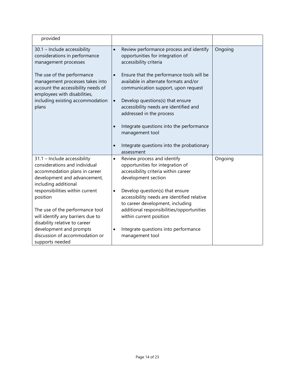| provided                                                                                                                                                                                                                                                                                                                                                                                       |                                                                                                                                                                                                                                                                                                                                                                                                                                                                                                                           |         |
|------------------------------------------------------------------------------------------------------------------------------------------------------------------------------------------------------------------------------------------------------------------------------------------------------------------------------------------------------------------------------------------------|---------------------------------------------------------------------------------------------------------------------------------------------------------------------------------------------------------------------------------------------------------------------------------------------------------------------------------------------------------------------------------------------------------------------------------------------------------------------------------------------------------------------------|---------|
| 30.1 - Include accessibility<br>considerations in performance<br>management processes<br>The use of the performance<br>management processes takes into<br>account the accessibility needs of<br>employees with disabilities,<br>including existing accommodation<br>plans                                                                                                                      | Review performance process and identify<br>$\bullet$<br>opportunities for integration of<br>accessibility criteria<br>Ensure that the performance tools will be<br>$\bullet$<br>available in alternate formats and/or<br>communication support, upon request<br>Develop questions(s) that ensure<br>$\bullet$<br>accessibility needs are identified and<br>addressed in the process<br>Integrate questions into the performance<br>$\bullet$<br>management tool<br>Integrate questions into the probationary<br>$\bullet$ | Ongoing |
| 31.1 - Include accessibility<br>considerations and individual<br>accommodation plans in career<br>development and advancement,<br>including additional<br>responsibilities within current<br>position<br>The use of the performance tool<br>will identify any barriers due to<br>disability relative to career<br>development and prompts<br>discussion of accommodation or<br>supports needed | assessment<br>Review process and identify<br>$\bullet$<br>opportunities for integration of<br>accessibility criteria within career<br>development section<br>Develop question(s) that ensure<br>$\bullet$<br>accessibility needs are identified relative<br>to career development, including<br>additional responsibilities/opportunities<br>within current position<br>Integrate questions into performance<br>$\bullet$<br>management tool                                                                              | Ongoing |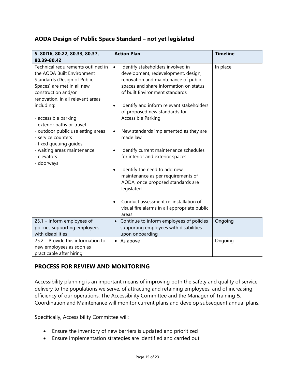#### **AODA Design of Public Space Standard – not yet legislated**

| S. 80116, 80.22, 80.33, 80.37,<br>80.39-80.42                                                                                                                                                                                                                                                                                                                                                                  | <b>Action Plan</b>                                                                                                                                                                                                                                                                                                                                                                                                                                                                                                                                                                                                                                                                   | <b>Timeline</b> |
|----------------------------------------------------------------------------------------------------------------------------------------------------------------------------------------------------------------------------------------------------------------------------------------------------------------------------------------------------------------------------------------------------------------|--------------------------------------------------------------------------------------------------------------------------------------------------------------------------------------------------------------------------------------------------------------------------------------------------------------------------------------------------------------------------------------------------------------------------------------------------------------------------------------------------------------------------------------------------------------------------------------------------------------------------------------------------------------------------------------|-----------------|
| Technical requirements outlined in<br>the AODA Built Environment<br>Standards (Design of Public<br>Spaces) are met in all new<br>construction and/or<br>renovation, in all relevant areas<br>including:<br>- accessible parking<br>- exterior paths or travel<br>- outdoor public use eating areas<br>- service counters<br>- fixed queuing guides<br>- waiting areas maintenance<br>- elevators<br>- doorways | Identify stakeholders involved in<br>$\bullet$<br>development, redevelopment, design,<br>renovation and maintenance of public<br>spaces and share information on status<br>of built Environment standards<br>Identify and inform relevant stakeholders<br>$\bullet$<br>of proposed new standards for<br>Accessible Parking<br>New standards implemented as they are<br>$\bullet$<br>made law<br>Identify current maintenance schedules<br>$\bullet$<br>for interior and exterior spaces<br>Identify the need to add new<br>$\bullet$<br>maintenance as per requirements of<br>AODA, once proposed standards are<br>legislated<br>Conduct assessment re: installation of<br>$\bullet$ | In place        |
|                                                                                                                                                                                                                                                                                                                                                                                                                | visual fire alarms in all appropriate public<br>areas.                                                                                                                                                                                                                                                                                                                                                                                                                                                                                                                                                                                                                               |                 |
| 25.1 - Inform employees of<br>policies supporting employees<br>with disabilities                                                                                                                                                                                                                                                                                                                               | Continue to inform employees of policies<br>supporting employees with disabilities<br>upon onboarding                                                                                                                                                                                                                                                                                                                                                                                                                                                                                                                                                                                | Ongoing         |
| 25.2 - Provide this information to<br>new employees as soon as<br>practicable after hiring                                                                                                                                                                                                                                                                                                                     | As above<br>$\bullet$                                                                                                                                                                                                                                                                                                                                                                                                                                                                                                                                                                                                                                                                | Ongoing         |

## **PROCESS FOR REVIEW AND MONITORING**

Accessibility planning is an important means of improving both the safety and quality of service delivery to the populations we serve, of attracting and retaining employees, and of increasing efficiency of our operations. The Accessibility Committee and the Manager of Training & Coordination and Maintenance will monitor current plans and develop subsequent annual plans.

Specifically, Accessibility Committee will:

- Ensure the inventory of new barriers is updated and prioritized
- Ensure implementation strategies are identified and carried out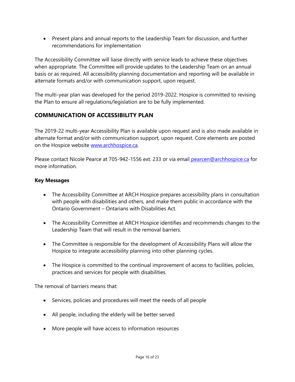• Present plans and annual reports to the Leadership Team for discussion, and further recommendations for implementation

The Accessibility Committee will liaise directly with service leads to achieve these objectives when appropriate. The Committee will provide updates to the Leadership Team on an annual basis or as required. All accessibility planning documentation and reporting will be available in alternate formats and/or with communication support, upon request.

The multi-year plan was developed for the period 2019-2022. Hospice is committed to revising the Plan to ensure all regulations/legislation are to be fully implemented.

## **COMMUNICATION OF ACCESSIBILITY PLAN**

The 2019-22 multi-year Accessibility Plan is available upon request and is also made available in alternate format and/or with communication support, upon request. Core elements are posted on the Hospice website [www.archhospice.ca.](http://www.archhospice.ca/)

Please contact Nicole Pearce at 705-942-1556 ext. 233 or via email [pearcen@archhospice.ca](mailto:pearcen@archhospice.ca) for more information.

#### **Key Messages**

- The Accessibility Committee at ARCH Hospice prepares accessibility plans in consultation with people with disabilities and others, and make them public in accordance with the Ontario Government – Ontarians with Disabilities Act.
- The Accessibility Committee at ARCH Hospice identifies and recommends changes to the Leadership Team that will result in the removal barriers.
- The Committee is responsible for the development of Accessibility Plans will allow the Hospice to integrate accessibility planning into other planning cycles.
- The Hospice is committed to the continual improvement of access to facilities, policies, practices and services for people with disabilities.

The removal of barriers means that:

- Services, policies and procedures will meet the needs of all people
- All people, including the elderly will be better served
- More people will have access to information resources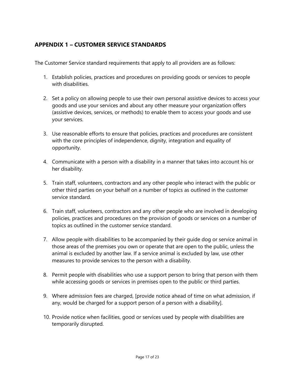## **APPENDIX 1 – CUSTOMER SERVICE STANDARDS**

The Customer Service standard requirements that apply to all providers are as follows:

- 1. Establish policies, practices and procedures on providing goods or services to people with disabilities.
- 2. Set a policy on allowing people to use their own personal assistive devices to access your goods and use your services and about any other measure your organization offers (assistive devices, services, or methods) to enable them to access your goods and use your services.
- 3. Use reasonable efforts to ensure that policies, practices and procedures are consistent with the core principles of independence, dignity, integration and equality of opportunity.
- 4. Communicate with a person with a disability in a manner that takes into account his or her disability.
- 5. Train staff, volunteers, contractors and any other people who interact with the public or other third parties on your behalf on a number of topics as outlined in the customer service standard.
- 6. Train staff, volunteers, contractors and any other people who are involved in developing policies, practices and procedures on the provision of goods or services on a number of topics as outlined in the customer service standard.
- 7. Allow people with disabilities to be accompanied by their guide dog or service animal in those areas of the premises you own or operate that are open to the public, unless the animal is excluded by another law. If a service animal is excluded by law, use other measures to provide services to the person with a disability.
- 8. Permit people with disabilities who use a support person to bring that person with them while accessing goods or services in premises open to the public or third parties.
- 9. Where admission fees are charged, [provide notice ahead of time on what admission, if any, would be charged for a support person of a person with a disability].
- 10. Provide notice when facilities, good or services used by people with disabilities are temporarily disrupted.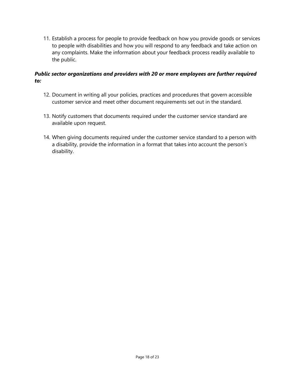11. Establish a process for people to provide feedback on how you provide goods or services to people with disabilities and how you will respond to any feedback and take action on any complaints. Make the information about your feedback process readily available to the public.

#### *Public sector organizations and providers with 20 or more employees are further required to:*

- 12. Document in writing all your policies, practices and procedures that govern accessible customer service and meet other document requirements set out in the standard.
- 13. Notify customers that documents required under the customer service standard are available upon request.
- 14. When giving documents required under the customer service standard to a person with a disability, provide the information in a format that takes into account the person's disability.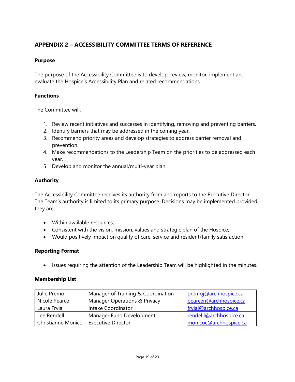## **APPENDIX 2 – ACCESSIBILITY COMMITTEE TERMS OF REFERENCE**

#### **Purpose**

The purpose of the Accessibility Committee is to develop, review, monitor, implement and evaluate the Hospice's Accessibility Plan and related recommendations.

#### **Functions**

The Committee will:

- 1. Review recent initiatives and successes in identifying, removing and preventing barriers.
- 2. Identify barriers that may be addressed in the coming year.
- 3. Recommend priority areas and develop strategies to address barrier removal and prevention.
- 4. Make recommendations to the Leadership Team on the priorities to be addressed each year.
- 5. Develop and monitor the annual/multi-year plan.

#### **Authority**

The Accessibility Committee receives its authority from and reports to the Executive Director. The Team's authority is limited to its primary purpose. Decisions may be implemented provided they are:

- Within available resources:
- Consistent with the vision, mission, values and strategic plan of the Hospice;
- Would positively impact on quality of care, service and resident/family satisfaction.

#### **Reporting Format**

• Issues requiring the attention of the Leadership Team will be highlighted in the minutes.

#### **Membership List**

| Julie Premo        | Manager of Training & Coordination      | premoj@archhospice.ca   |
|--------------------|-----------------------------------------|-------------------------|
| Nicole Pearce      | <b>Manager Operations &amp; Privacy</b> | pearcen@archhospice.ca  |
| Laura Fryia        | Intake Coordinator                      | fryial@archhospice.ca   |
| Lee Rendell        | Manager Fund Development                | rendelll@archhospice.ca |
| Christianne Monico | <b>Executive Director</b>               | monicoc@archhospice.ca  |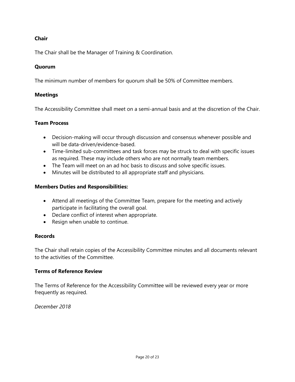#### **Chair**

The Chair shall be the Manager of Training & Coordination.

#### **Quorum**

The minimum number of members for quorum shall be 50% of Committee members.

#### **Meetings**

The Accessibility Committee shall meet on a semi-annual basis and at the discretion of the Chair.

#### **Team Process**

- Decision-making will occur through discussion and consensus whenever possible and will be data-driven/evidence-based.
- Time-limited sub-committees and task forces may be struck to deal with specific issues as required. These may include others who are not normally team members.
- The Team will meet on an ad hoc basis to discuss and solve specific issues.
- Minutes will be distributed to all appropriate staff and physicians.

#### **Members Duties and Responsibilities:**

- Attend all meetings of the Committee Team, prepare for the meeting and actively participate in facilitating the overall goal.
- Declare conflict of interest when appropriate.
- Resign when unable to continue.

#### **Records**

The Chair shall retain copies of the Accessibility Committee minutes and all documents relevant to the activities of the Committee.

#### **Terms of Reference Review**

The Terms of Reference for the Accessibility Committee will be reviewed every year or more frequently as required.

*December 2018*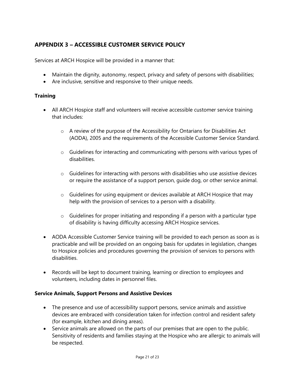## **APPENDIX 3 – ACCESSIBLE CUSTOMER SERVICE POLICY**

Services at ARCH Hospice will be provided in a manner that:

- Maintain the dignity, autonomy, respect, privacy and safety of persons with disabilities;
- Are inclusive, sensitive and responsive to their unique needs.

#### **Training**

- All ARCH Hospice staff and volunteers will receive accessible customer service training that includes:
	- $\circ$  A review of the purpose of the Accessibility for Ontarians for Disabilities Act (AODA), 2005 and the requirements of the Accessible Customer Service Standard.
	- o Guidelines for interacting and communicating with persons with various types of disabilities.
	- $\circ$  Guidelines for interacting with persons with disabilities who use assistive devices or require the assistance of a support person, guide dog, or other service animal.
	- $\circ$  Guidelines for using equipment or devices available at ARCH Hospice that may help with the provision of services to a person with a disability.
	- o Guidelines for proper initiating and responding if a person with a particular type of disability is having difficulty accessing ARCH Hospice services.
- AODA Accessible Customer Service training will be provided to each person as soon as is practicable and will be provided on an ongoing basis for updates in legislation, changes to Hospice policies and procedures governing the provision of services to persons with disabilities.
- Records will be kept to document training, learning or direction to employees and volunteers, including dates in personnel files.

#### **Service Animals, Support Persons and Assistive Devices**

- The presence and use of accessibility support persons, service animals and assistive devices are embraced with consideration taken for infection control and resident safety (for example, kitchen and dining areas).
- Service animals are allowed on the parts of our premises that are open to the public. Sensitivity of residents and families staying at the Hospice who are allergic to animals will be respected.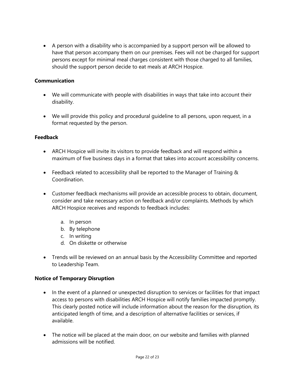• A person with a disability who is accompanied by a support person will be allowed to have that person accompany them on our premises. Fees will not be charged for support persons except for minimal meal charges consistent with those charged to all families, should the support person decide to eat meals at ARCH Hospice.

#### **Communication**

- We will communicate with people with disabilities in ways that take into account their disability.
- We will provide this policy and procedural guideline to all persons, upon request, in a format requested by the person.

#### **Feedback**

- ARCH Hospice will invite its visitors to provide feedback and will respond within a maximum of five business days in a format that takes into account accessibility concerns.
- Feedback related to accessibility shall be reported to the Manager of Training & Coordination.
- Customer feedback mechanisms will provide an accessible process to obtain, document, consider and take necessary action on feedback and/or complaints. Methods by which ARCH Hospice receives and responds to feedback includes:
	- a. In person
	- b. By telephone
	- c. In writing
	- d. On diskette or otherwise
- Trends will be reviewed on an annual basis by the Accessibility Committee and reported to Leadership Team.

#### **Notice of Temporary Disruption**

- In the event of a planned or unexpected disruption to services or facilities for that impact access to persons with disabilities ARCH Hospice will notify families impacted promptly. This clearly posted notice will include information about the reason for the disruption, its anticipated length of time, and a description of alternative facilities or services, if available.
- The notice will be placed at the main door, on our website and families with planned admissions will be notified.